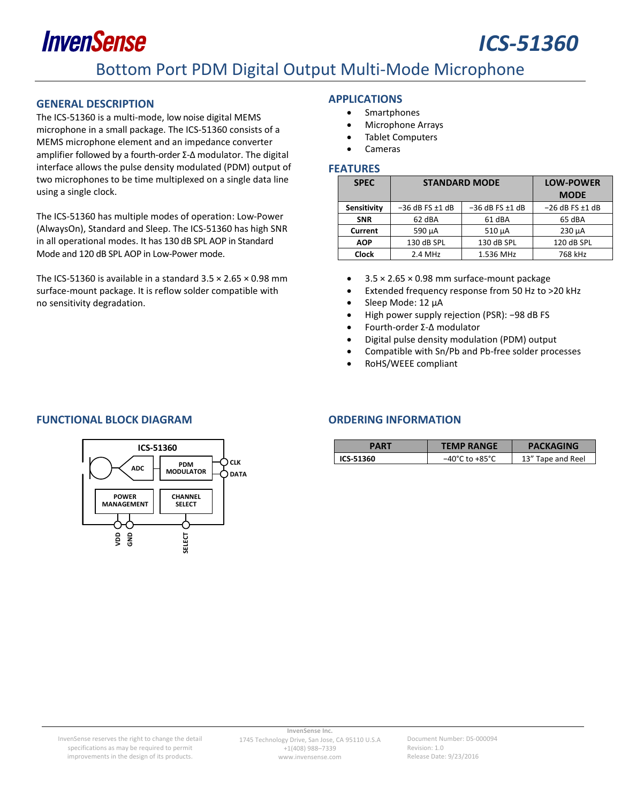## InvenSense *ICS-51360* Bottom Port PDM Digital Output Multi-Mode Microphone

#### <span id="page-0-0"></span>**GENERAL DESCRIPTION**

The ICS-51360 is a multi-mode, low noise digital MEMS microphone in a small package. The ICS-51360 consists of a MEMS microphone element and an impedance converter amplifier followed by a fourth-order Σ-Δ modulator. The digital interface allows the pulse density modulated (PDM) output of two microphones to be time multiplexed on a single data line using a single clock.

The ICS-51360 has multiple modes of operation: Low-Power (AlwaysOn), Standard and Sleep. The ICS-51360 has high SNR in all operational modes. It has 130 dB SPL AOP in Standard Mode and 120 dB SPL AOP in Low-Power mode.

The ICS-51360 is available in a standard  $3.5 \times 2.65 \times 0.98$  mm surface-mount package. It is reflow solder compatible with no sensitivity degradation.

#### <span id="page-0-1"></span>**APPLICATIONS**

- Smartphones
- Microphone Arrays
- Tablet Computers
- Cameras

#### <span id="page-0-2"></span>**FEATURES**

| <b>SPEC</b>  | <b>STANDARD MODE</b>   |                        | <b>LOW-POWER</b>       |
|--------------|------------------------|------------------------|------------------------|
|              |                        |                        |                        |
| Sensitivity  | $-36$ dB FS $\pm$ 1 dB | $-36$ dB FS $\pm$ 1 dB | $-26$ dB FS $\pm$ 1 dB |
| <b>SNR</b>   | 62 dBA                 | 61 dBA                 | 65 dBA                 |
| Current      | 590 µA                 | $510 \mu A$            | $230 \mu A$            |
| <b>AOP</b>   | 130 dB SPL             | 130 dB SPL             | 120 dB SPL             |
| <b>Clock</b> | $2.4$ MHz              | 1.536 MHz              | 768 kHz                |

- $\bullet$  3.5  $\times$  2.65  $\times$  0.98 mm surface-mount package
- Extended frequency response from 50 Hz to >20 kHz
- Sleep Mode: 12 µA
- High power supply rejection (PSR): −98 dB FS
- Fourth-order Σ-Δ modulator
- Digital pulse density modulation (PDM) output
- Compatible with Sn/Pb and Pb-free solder processes
- RoHS/WEEE compliant

#### <span id="page-0-3"></span>**FUNCTIONAL BLOCK DIAGRAM CONDUCTIONAL BLOCK DIAGRAM**



<span id="page-0-4"></span>

| PART      | <b>TEMP RANGE</b>                  | <b>PACKAGING</b>  |
|-----------|------------------------------------|-------------------|
| ICS-51360 | $-40^{\circ}$ C to $+85^{\circ}$ C | 13" Tape and Reel |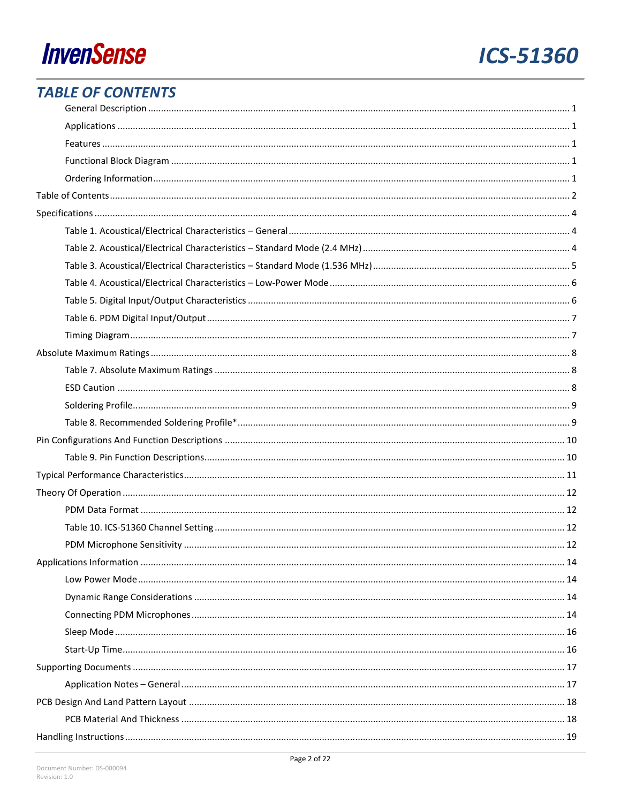## **ICS-51360**

## <span id="page-1-0"></span>**TABLE OF CONTENTS**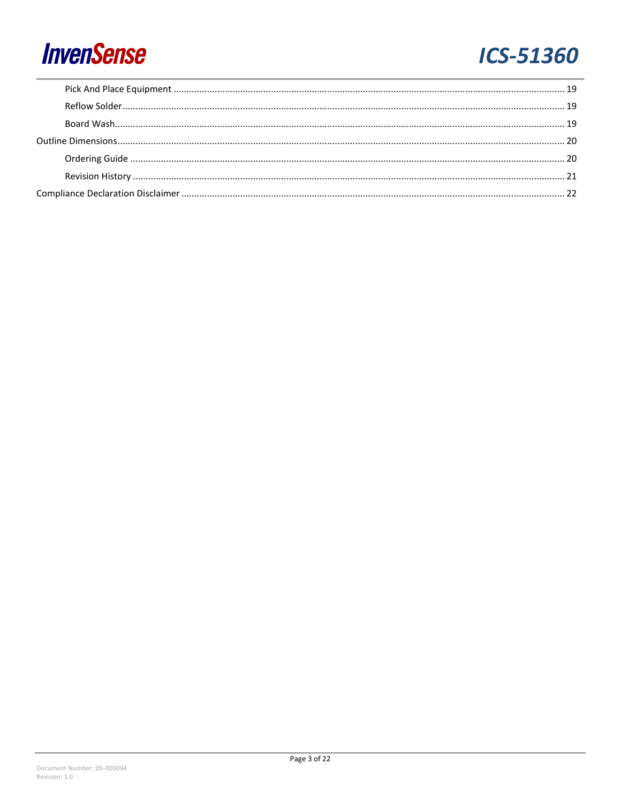## **ICS-51360**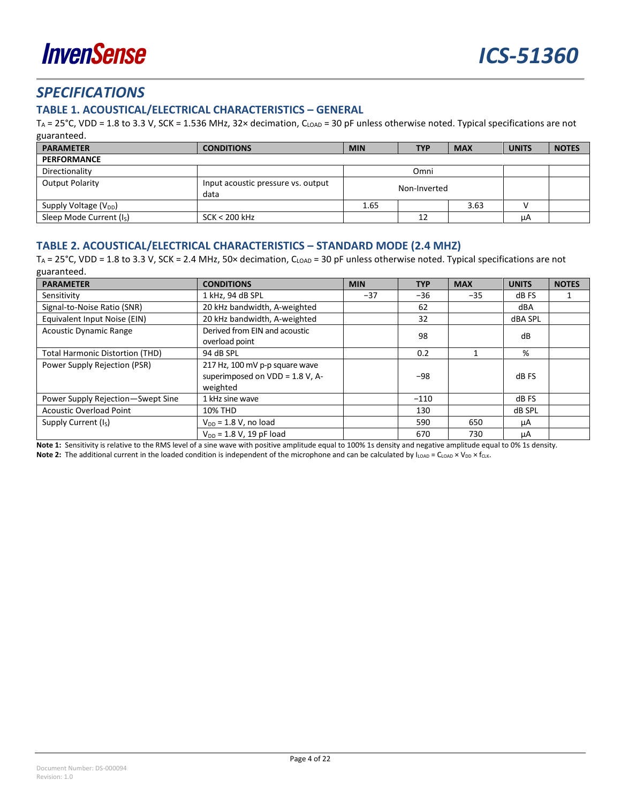

## <span id="page-3-0"></span>*SPECIFICATIONS*

#### <span id="page-3-1"></span>**TABLE 1. ACOUSTICAL/ELECTRICAL CHARACTERISTICS – GENERAL**

T<sub>A</sub> = 25°C, VDD = 1.8 to 3.3 V, SCK = 1.536 MHz, 32× decimation, C<sub>LOAD</sub> = 30 pF unless otherwise noted. Typical specifications are not guaranteed.

| <b>PARAMETER</b>                     | <b>CONDITIONS</b>                          | <b>MIN</b>   | <b>TYP</b> | <b>MAX</b> | <b>UNITS</b> | <b>NOTES</b> |
|--------------------------------------|--------------------------------------------|--------------|------------|------------|--------------|--------------|
| <b>PERFORMANCE</b>                   |                                            |              |            |            |              |              |
| Directionality                       |                                            |              | Omni       |            |              |              |
| <b>Output Polarity</b>               | Input acoustic pressure vs. output<br>data | Non-Inverted |            |            |              |              |
| Supply Voltage (V <sub>DD</sub> )    |                                            | 1.65         |            | 3.63       |              |              |
| Sleep Mode Current (I <sub>S</sub> ) | $SCK < 200$ kHz                            |              | 12         |            | μA           |              |

#### <span id="page-3-2"></span>**TABLE 2. ACOUSTICAL/ELECTRICAL CHARACTERISTICS – STANDARD MODE (2.4 MHZ)**

T<sub>A</sub> = 25°C, VDD = 1.8 to 3.3 V, SCK = 2.4 MHz, 50× decimation, C<sub>LOAD</sub> = 30 pF unless otherwise noted. Typical specifications are not guaranteed.

| <b>PARAMETER</b>                                    | <b>CONDITIONS</b>                                                             | <b>MIN</b> | <b>TYP</b> | <b>MAX</b> | <b>UNITS</b> | <b>NOTES</b> |
|-----------------------------------------------------|-------------------------------------------------------------------------------|------------|------------|------------|--------------|--------------|
| Sensitivity                                         | 1 kHz, 94 dB SPL<br>$-37$                                                     |            | $-36$      | $-35$      | dB FS        |              |
| Signal-to-Noise Ratio (SNR)                         | 20 kHz bandwidth, A-weighted                                                  |            | 62         |            | dBA          |              |
| Equivalent Input Noise (EIN)                        | 20 kHz bandwidth, A-weighted                                                  |            |            |            | dBA SPL      |              |
| <b>Acoustic Dynamic Range</b>                       | Derived from EIN and acoustic<br>overload point                               |            | 98         |            | dB           |              |
| 94 dB SPL<br><b>Total Harmonic Distortion (THD)</b> |                                                                               | 0.2        |            | %          |              |              |
| Power Supply Rejection (PSR)                        | 217 Hz, 100 mV p-p square wave<br>superimposed on VDD = 1.8 V, A-<br>weighted |            | $-98$      |            | dB FS        |              |
| Power Supply Rejection-Swept Sine                   | 1 kHz sine wave                                                               |            | $-110$     |            | dB FS        |              |
| <b>Acoustic Overload Point</b>                      | 10% THD                                                                       |            | 130        |            | dB SPL       |              |
| Supply Current (I <sub>S</sub> )                    | $V_{DD}$ = 1.8 V, no load                                                     |            | 590        | 650        | μA           |              |
|                                                     | $V_{DD} = 1.8 V$ , 19 pF load                                                 |            | 670        | 730        | μA           |              |

**Note 1:** Sensitivity is relative to the RMS level of a sine wave with positive amplitude equal to 100% 1s density and negative amplitude equal to 0% 1s density.

**Note 2:** The additional current in the loaded condition is independent of the microphone and can be calculated by I<sub>LOAD</sub> = C<sub>LOAD</sub> × V<sub>DD</sub> × f<sub>CLK</sub>.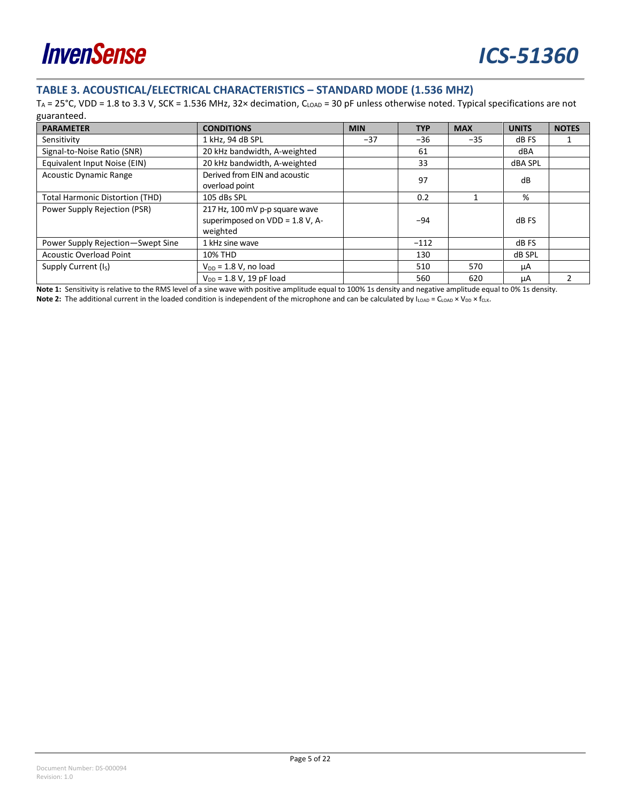

### <span id="page-4-0"></span>**TABLE 3. ACOUSTICAL/ELECTRICAL CHARACTERISTICS – STANDARD MODE (1.536 MHZ)**

T<sub>A</sub> = 25°C, VDD = 1.8 to 3.3 V, SCK = 1.536 MHz, 32× decimation, C<sub>LOAD</sub> = 30 pF unless otherwise noted. Typical specifications are not guaranteed.

| <b>PARAMETER</b>                       | <b>CONDITIONS</b>                                                                | <b>MIN</b> | <b>TYP</b> | <b>MAX</b> | <b>UNITS</b> | <b>NOTES</b> |
|----------------------------------------|----------------------------------------------------------------------------------|------------|------------|------------|--------------|--------------|
| Sensitivity                            | 1 kHz, 94 dB SPL<br>$-37$                                                        |            | $-36$      | $-35$      | dB FS        |              |
| Signal-to-Noise Ratio (SNR)            | 20 kHz bandwidth, A-weighted                                                     |            | 61         |            | dBA          |              |
| Equivalent Input Noise (EIN)           | 20 kHz bandwidth, A-weighted                                                     |            | 33         |            | dBA SPL      |              |
| <b>Acoustic Dynamic Range</b>          | Derived from EIN and acoustic<br>overload point                                  |            | 97         |            | dB           |              |
| <b>Total Harmonic Distortion (THD)</b> | 105 dBs SPL                                                                      |            | 0.2        |            | %            |              |
| Power Supply Rejection (PSR)           | 217 Hz, 100 mV p-p square wave<br>superimposed on $VDD = 1.8 V$ , A-<br>weighted |            | $-94$      |            | dB FS        |              |
| Power Supply Rejection-Swept Sine      | 1 kHz sine wave                                                                  |            | $-112$     |            | dB FS        |              |
| <b>Acoustic Overload Point</b>         | 10% THD                                                                          |            | 130        |            | dB SPL       |              |
| Supply Current (I <sub>S</sub> )       | $V_{DD}$ = 1.8 V, no load                                                        |            | 510        | 570        | μA           |              |
|                                        | $V_{DD} = 1.8 V$ , 19 pF load                                                    |            | 560        | 620        | μA           |              |

**Note 1:** Sensitivity is relative to the RMS level of a sine wave with positive amplitude equal to 100% 1s density and negative amplitude equal to 0% 1s density. **Note 2:** The additional current in the loaded condition is independent of the microphone and can be calculated by  $I_{LOAD} = C_{LOAD} \times V_{DD} \times f_{CLK}$ .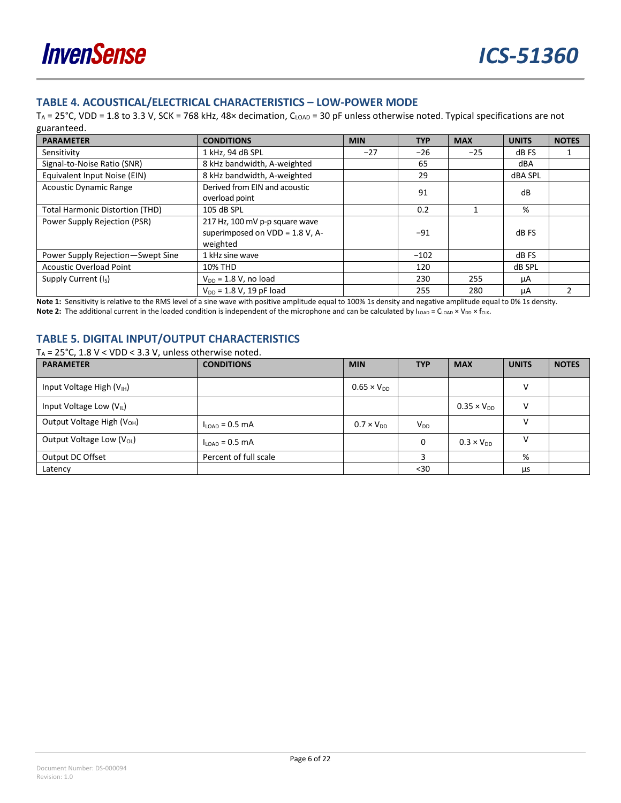#### <span id="page-5-0"></span>**TABLE 4. ACOUSTICAL/ELECTRICAL CHARACTERISTICS – LOW-POWER MODE**

TA = 25°C, VDD = 1.8 to 3.3 V, SCK = 768 kHz, 48× decimation, CLOAD = 30 pF unless otherwise noted. Typical specifications are not guaranteed.

| <b>PARAMETER</b>                       | <b>CONDITIONS</b>                                                                | <b>MIN</b> | <b>TYP</b> | <b>MAX</b> | <b>UNITS</b> | <b>NOTES</b> |
|----------------------------------------|----------------------------------------------------------------------------------|------------|------------|------------|--------------|--------------|
| Sensitivity                            | 1 kHz, 94 dB SPL                                                                 | $-27$      | $-26$      | $-25$      | dB FS        |              |
| Signal-to-Noise Ratio (SNR)            | 8 kHz bandwidth, A-weighted                                                      |            | 65         |            | dBA          |              |
| Equivalent Input Noise (EIN)           | 8 kHz bandwidth, A-weighted                                                      |            | 29         |            | dBA SPL      |              |
| <b>Acoustic Dynamic Range</b>          | Derived from EIN and acoustic<br>overload point                                  | 91         |            |            | dB           |              |
| <b>Total Harmonic Distortion (THD)</b> | 105 dB SPL                                                                       |            | 0.2        |            | %            |              |
| Power Supply Rejection (PSR)           | 217 Hz, 100 mV p-p square wave<br>superimposed on $VDD = 1.8 V$ , A-<br>weighted |            | $-91$      |            | dB FS        |              |
| Power Supply Rejection-Swept Sine      | 1 kHz sine wave                                                                  |            | $-102$     |            | dB FS        |              |
| <b>Acoustic Overload Point</b>         | 10% THD                                                                          |            | 120        |            | dB SPL       |              |
| Supply Current (Is)                    | $V_{DD}$ = 1.8 V, no load                                                        |            | 230        | 255        | μA           |              |
|                                        | $V_{DD} = 1.8 V$ , 19 pF load                                                    |            | 255        | 280        | μA           |              |

**Note 1:** Sensitivity is relative to the RMS level of a sine wave with positive amplitude equal to 100% 1s density and negative amplitude equal to 0% 1s density. Note 2: The additional current in the loaded condition is independent of the microphone and can be calculated by I<sub>LOAD</sub> = C<sub>LOAD</sub> × V<sub>DD</sub> × f<sub>CLK</sub>.

#### <span id="page-5-1"></span>**TABLE 5. DIGITAL INPUT/OUTPUT CHARACTERISTICS**

T<sub>A</sub> =  $25^{\circ}$ C, 1.8 V < VDD < 3.3 V, unless otherwise noted.

| <b>PARAMETER</b>                       | <b>CONDITIONS</b>          | <b>MIN</b>           | <b>TYP</b>      | <b>MAX</b>           | <b>UNITS</b> | <b>NOTES</b> |
|----------------------------------------|----------------------------|----------------------|-----------------|----------------------|--------------|--------------|
| Input Voltage High (V <sub>IH</sub> )  |                            | $0.65 \times V_{DD}$ |                 |                      | v            |              |
| Input Voltage Low $(V_{IL})$           |                            |                      |                 | $0.35 \times V_{DD}$ | v            |              |
| Output Voltage High (V <sub>OH</sub> ) | $I_{\text{LOAD}}$ = 0.5 mA | $0.7 \times V_{DD}$  | V <sub>DD</sub> |                      |              |              |
| Output Voltage Low $(V_{OL})$          | $I_{\text{LOAD}}$ = 0.5 mA |                      | 0               | $0.3 \times V_{DD}$  | v            |              |
| Output DC Offset                       | Percent of full scale      |                      |                 |                      | %            |              |
| Latency                                |                            |                      | $30$            |                      | <b>LLS</b>   |              |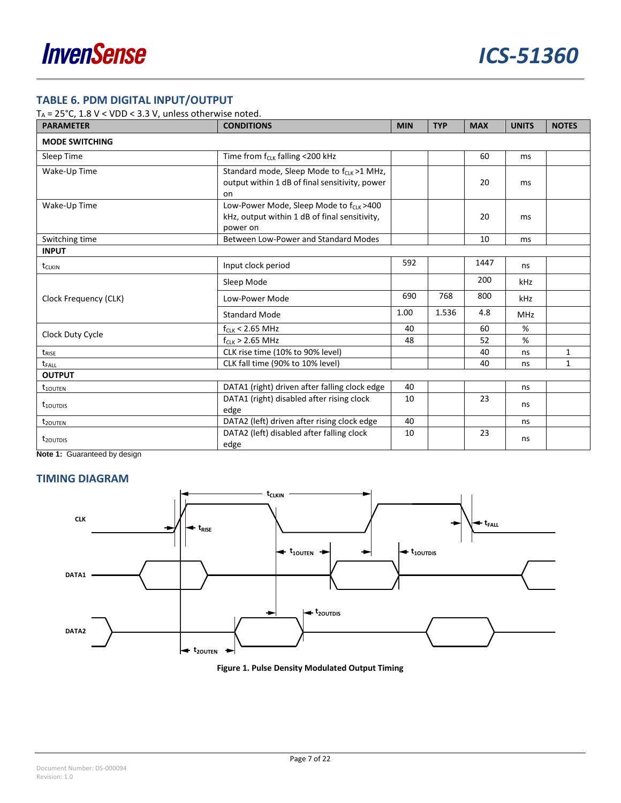### <span id="page-6-0"></span>**TABLE 6. PDM DIGITAL INPUT/OUTPUT**

T<sub>A</sub> =  $25^{\circ}$ C, 1.8 V < VDD < 3.3 V, unless otherwise noted.

| <b>PARAMETER</b>          | <b>CONDITIONS</b>                                                                                                | <b>MIN</b> | <b>TYP</b> | <b>MAX</b> | <b>UNITS</b>  | <b>NOTES</b> |
|---------------------------|------------------------------------------------------------------------------------------------------------------|------------|------------|------------|---------------|--------------|
| <b>MODE SWITCHING</b>     |                                                                                                                  |            |            |            |               |              |
| Sleep Time                | Time from f <sub>CLK</sub> falling <200 kHz                                                                      |            |            | 60         | ms            |              |
| Wake-Up Time              | Standard mode, Sleep Mode to f <sub>CLK</sub> >1 MHz,<br>output within 1 dB of final sensitivity, power<br>on    |            |            | 20         | <sub>ms</sub> |              |
| Wake-Up Time              | Low-Power Mode, Sleep Mode to f <sub>CLK</sub> >400<br>kHz, output within 1 dB of final sensitivity,<br>power on |            |            | 20         | <sub>ms</sub> |              |
| Switching time            | Between Low-Power and Standard Modes                                                                             |            |            | 10         | ms            |              |
| <b>INPUT</b>              |                                                                                                                  |            |            |            |               |              |
| t <sub>CLKIN</sub>        | Input clock period                                                                                               | 592        |            | 1447       | ns            |              |
|                           | Sleep Mode                                                                                                       |            |            | 200        | kHz           |              |
| Clock Frequency (CLK)     | Low-Power Mode                                                                                                   | 690        | 768        | 800        | kHz           |              |
|                           | <b>Standard Mode</b>                                                                                             | 1.00       | 1.536      | 4.8        | <b>MHz</b>    |              |
|                           | $f_{CLK}$ < 2.65 MHz                                                                                             | 40         |            | 60         | %             |              |
| Clock Duty Cycle          | $f_{CLK}$ > 2.65 MHz                                                                                             | 48         |            | 52         | %             |              |
| t <sub>rise</sub>         | CLK rise time (10% to 90% level)                                                                                 |            |            | 40         | ns            | 1            |
| t <sub>FALL</sub>         | CLK fall time (90% to 10% level)                                                                                 |            |            | 40         | ns            | 1            |
| <b>OUTPUT</b>             |                                                                                                                  |            |            |            |               |              |
| $t_{100TEN}$              | DATA1 (right) driven after falling clock edge                                                                    | 40         |            |            | ns            |              |
| $t_{10}$ <sub>UTDIS</sub> | DATA1 (right) disabled after rising clock<br>edge                                                                | 10         |            | 23         | ns            |              |
| t <sub>20UTEN</sub>       | DATA2 (left) driven after rising clock edge                                                                      | 40         |            |            | ns            |              |
| t <sub>20UTDIS</sub>      | DATA2 (left) disabled after falling clock<br>edge                                                                | 10         |            | 23         | ns            |              |

**Note 1:** Guaranteed by design

#### <span id="page-6-1"></span>**TIMING DIAGRAM**

<span id="page-6-2"></span>

**Figure 1. Pulse Density Modulated Output Timing**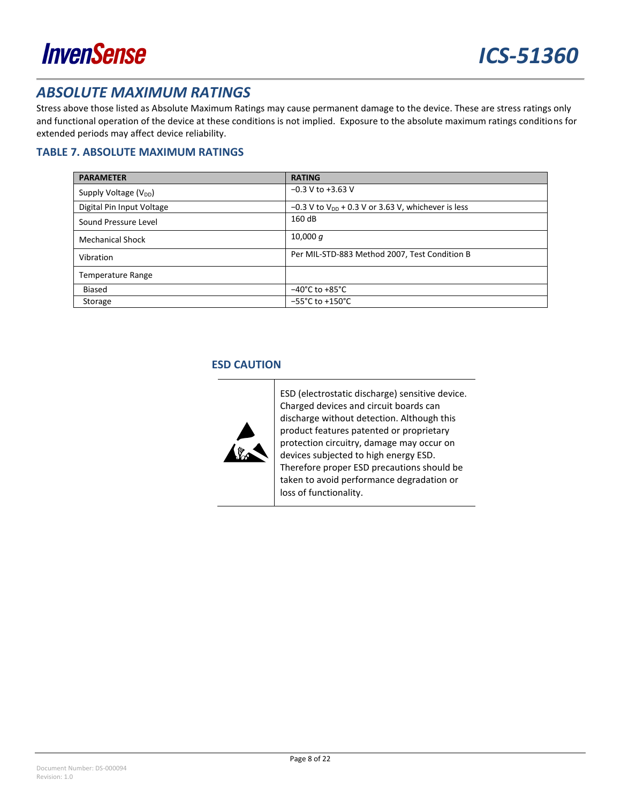

### <span id="page-7-0"></span>*ABSOLUTE MAXIMUM RATINGS*

Stress above those listed as Absolute Maximum Ratings may cause permanent damage to the device. These are stress ratings only and functional operation of the device at these conditions is not implied. Exposure to the absolute maximum ratings conditions for extended periods may affect device reliability.

#### <span id="page-7-1"></span>**TABLE 7. ABSOLUTE MAXIMUM RATINGS**

| <b>PARAMETER</b>                  | <b>RATING</b>                                                    |
|-----------------------------------|------------------------------------------------------------------|
| Supply Voltage (V <sub>DD</sub> ) | $-0.3$ V to $+3.63$ V                                            |
| Digital Pin Input Voltage         | $-0.3$ V to V <sub>DD</sub> + 0.3 V or 3.63 V, whichever is less |
| Sound Pressure Level              | 160dB                                                            |
| <b>Mechanical Shock</b>           | 10,000 $q$                                                       |
| Vibration                         | Per MIL-STD-883 Method 2007, Test Condition B                    |
| <b>Temperature Range</b>          |                                                                  |
| <b>Biased</b>                     | $-40^{\circ}$ C to +85 $^{\circ}$ C                              |
| Storage                           | $-55^{\circ}$ C to +150 $^{\circ}$ C                             |

#### <span id="page-7-2"></span>**ESD CAUTION**



ESD (electrostatic discharge) sensitive device. Charged devices and circuit boards can discharge without detection. Although this product features patented or proprietary protection circuitry, damage may occur on devices subjected to high energy ESD. Therefore proper ESD precautions should be taken to avoid performance degradation or loss of functionality.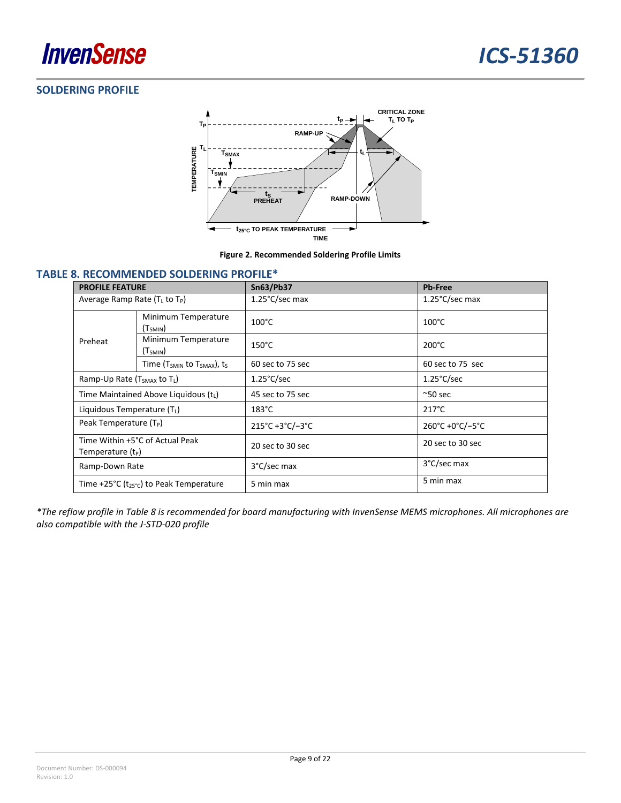### <span id="page-8-0"></span>**SOLDERING PROFILE**



**Figure 2. Recommended Soldering Profile Limits**

#### <span id="page-8-2"></span><span id="page-8-1"></span>**TABLE 8. RECOMMENDED SOLDERING PROFILE\***

| <b>PROFILE FEATURE</b>                                         |                                                                                   | Sn63/Pb37                | <b>Pb-Free</b>           |
|----------------------------------------------------------------|-----------------------------------------------------------------------------------|--------------------------|--------------------------|
| Average Ramp Rate $(TL$ to $TP)$                               |                                                                                   | $1.25^{\circ}$ C/sec max | $1.25^{\circ}$ C/sec max |
|                                                                | Minimum Temperature<br>(T <sub>SMIN</sub> )                                       | $100^{\circ}$ C          | $100^{\circ}$ C          |
| Preheat                                                        | Minimum Temperature<br>(T <sub>SMIN</sub> )                                       | $150^{\circ}$ C          | $200^{\circ}$ C          |
| Time (T <sub>SMIN</sub> to T <sub>SMAX</sub> ), t <sub>s</sub> |                                                                                   | 60 sec to 75 sec         | 60 sec to 75 sec         |
| Ramp-Up Rate (T <sub>SMAX</sub> to TL)                         |                                                                                   | $1.25^{\circ}$ C/sec     | $1.25^{\circ}$ C/sec     |
|                                                                | Time Maintained Above Liquidous (tL)                                              | 45 sec to 75 sec         | $^{\sim}50$ sec          |
| Liquidous Temperature $(T_L)$                                  |                                                                                   | $183^{\circ}$ C          | $217^{\circ}$ C          |
| Peak Temperature (T <sub>P</sub> )                             |                                                                                   | 215°C+3°C/-3°C           | 260°C +0°C/-5°C          |
| Time Within +5°C of Actual Peak<br>Temperature $(t_P)$         |                                                                                   | 20 sec to 30 sec         | 20 sec to 30 sec         |
| Ramp-Down Rate                                                 |                                                                                   | 3°C/sec max              | 3°C/sec max              |
|                                                                | Time +25 $^{\circ}$ C (t <sub>25<math>^{\circ}</math>C) to Peak Temperature</sub> | 5 min max                | 5 min max                |

*\*The reflow profile in [Table 8](#page-8-1) is recommended for board manufacturing with InvenSense MEMS microphones. All microphones are also compatible with the J-STD-020 profile*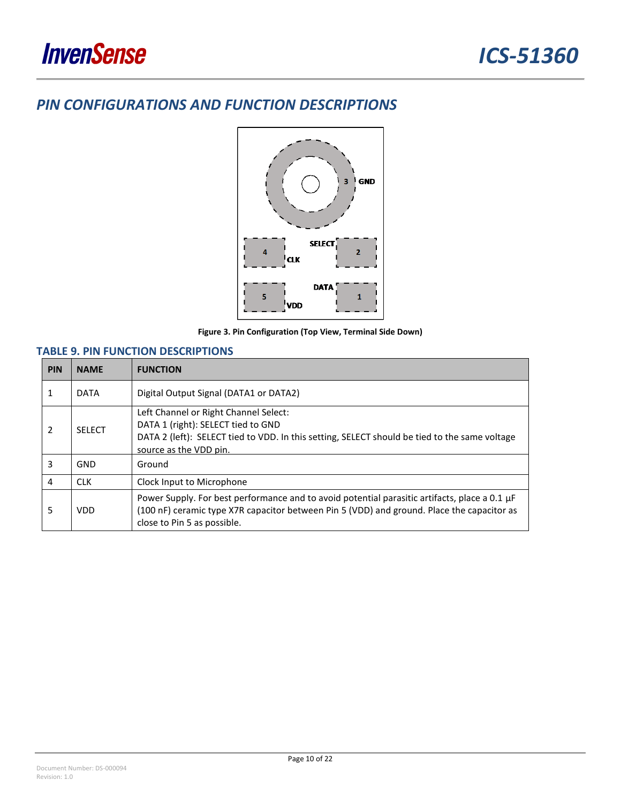## <span id="page-9-0"></span>*PIN CONFIGURATIONS AND FUNCTION DESCRIPTIONS*



**Figure 3. Pin Configuration (Top View, Terminal Side Down)**

#### <span id="page-9-1"></span>**TABLE 9. PIN FUNCTION DESCRIPTIONS**

| <b>PIN</b>     | <b>NAME</b>   | <b>FUNCTION</b>                                                                                                                                                                                                            |  |
|----------------|---------------|----------------------------------------------------------------------------------------------------------------------------------------------------------------------------------------------------------------------------|--|
| 1              | <b>DATA</b>   | Digital Output Signal (DATA1 or DATA2)                                                                                                                                                                                     |  |
| $\overline{2}$ | <b>SFLFCT</b> | Left Channel or Right Channel Select:<br>DATA 1 (right): SELECT tied to GND<br>DATA 2 (left): SELECT tied to VDD. In this setting, SELECT should be tied to the same voltage<br>source as the VDD pin.                     |  |
| 3              | GND           | Ground                                                                                                                                                                                                                     |  |
| 4              | <b>CLK</b>    | Clock Input to Microphone                                                                                                                                                                                                  |  |
| 5              | <b>VDD</b>    | Power Supply. For best performance and to avoid potential parasitic artifacts, place a 0.1 µF<br>(100 nF) ceramic type X7R capacitor between Pin 5 (VDD) and ground. Place the capacitor as<br>close to Pin 5 as possible. |  |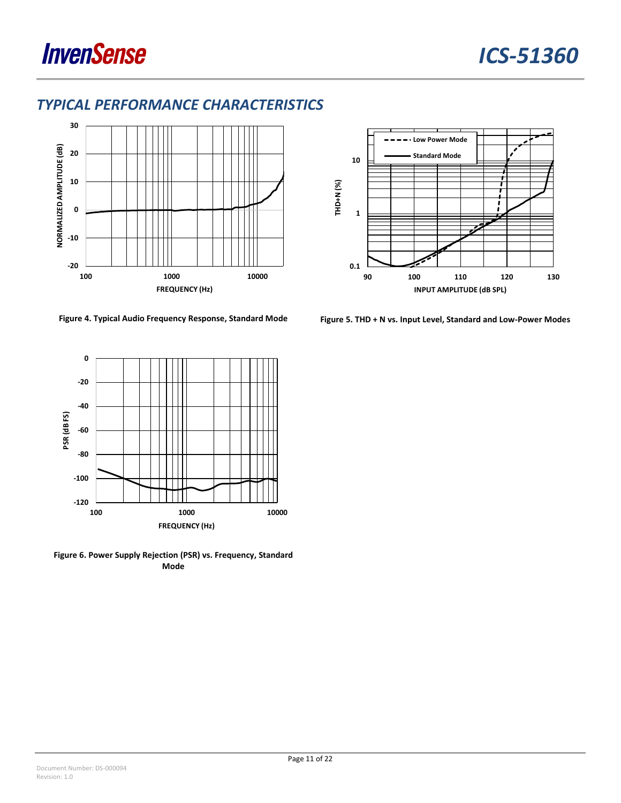

**-20**

**-10**

**0**



## <span id="page-10-0"></span>*TYPICAL PERFORMANCE CHARACTERISTICS*



**100 1000 10000**

**FREQUENCY (Hz)**



**Figure 6. Power Supply Rejection (PSR) vs. Frequency, Standard Mode**



<span id="page-10-1"></span>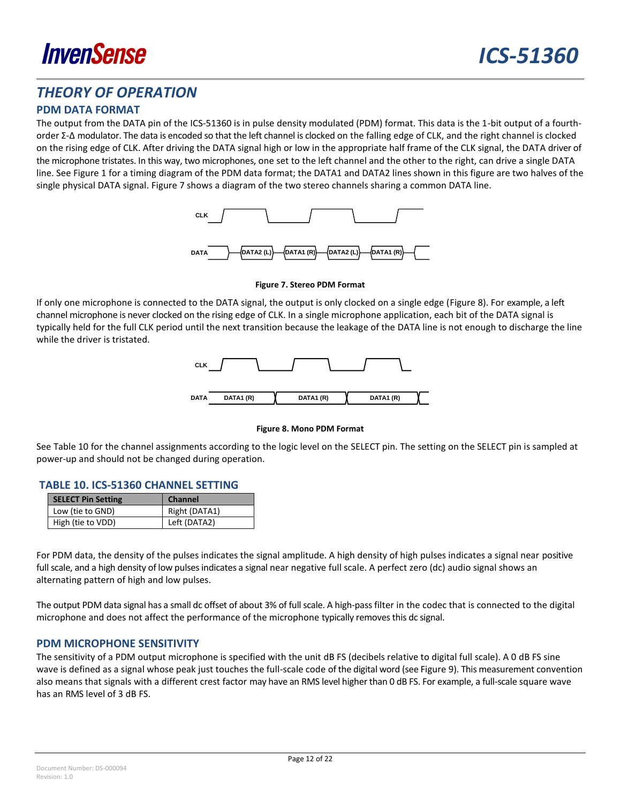

### <span id="page-11-0"></span>*THEORY OF OPERATION*

#### <span id="page-11-1"></span>**PDM DATA FORMAT**

The output from the DATA pin of the ICS-51360 is in pulse density modulated (PDM) format. This data is the 1-bit output of a fourthorder Σ-Δ modulator. The data is encoded so that the left channel is clocked on the falling edge of CLK, and the right channel is clocked on the rising edge of CLK. After driving the DATA signal high or low in the appropriate half frame of the CLK signal, the DATA driver of the microphone tristates. In this way, two microphones, one set to the left channel and the other to the right, can drive a single DATA line. See [Figure 1](#page-6-2) for a timing diagram of the PDM data format; the DATA1 and DATA2 lines shown in this figure are two halves of the single physical DATA signal. [Figure 7](#page-11-4) shows a diagram of the two stereo channels sharing a common DATA line.



**Figure 7. Stereo PDM Format**

<span id="page-11-4"></span>If only one microphone is connected to the DATA signal, the output is only clocked on a single edge [\(Figure 8\)](#page-11-5). For example, a left channel microphone is never clocked on the rising edge of CLK. In a single microphone application, each bit of the DATA signal is typically held for the full CLK period until the next transition because the leakage of the DATA line is not enough to discharge the line while the driver is tristated.



#### **Figure 8. Mono PDM Format**

<span id="page-11-5"></span>See [Table 10](#page-11-2) for the channel assignments according to the logic level on the SELECT pin. The setting on the SELECT pin is sampled at power-up and should not be changed during operation.

#### <span id="page-11-2"></span>**TABLE 10. ICS-51360 CHANNEL SETTING**

| <b>SELECT Pin Setting</b> | <b>Channel</b> |
|---------------------------|----------------|
| Low (tie to GND)          | Right (DATA1)  |
| High (tie to VDD)         | Left (DATA2)   |

For PDM data, the density of the pulses indicates the signal amplitude. A high density of high pulses indicates a signal near positive full scale, and a high density of low pulses indicates a signal near negative full scale. A perfect zero (dc) audio signal shows an alternating pattern of high and low pulses.

The output PDM data signal has a small dc offset of about 3% of full scale. A high-pass filter in the codec that is connected to the digital microphone and does not affect the performance of the microphone typically removes this dc signal.

#### <span id="page-11-3"></span>**PDM MICROPHONE SENSITIVITY**

The sensitivity of a PDM output microphone is specified with the unit dB FS (decibels relative to digital full scale). A 0 dB FS sine wave is defined as a signal whose peak just touches the full-scale code of the digital word (see [Figure 9\)](#page-12-0). This measurement convention also means that signals with a different crest factor may have an RMS level higher than 0 dB FS. For example, a full-scale square wave has an RMS level of 3 dB FS.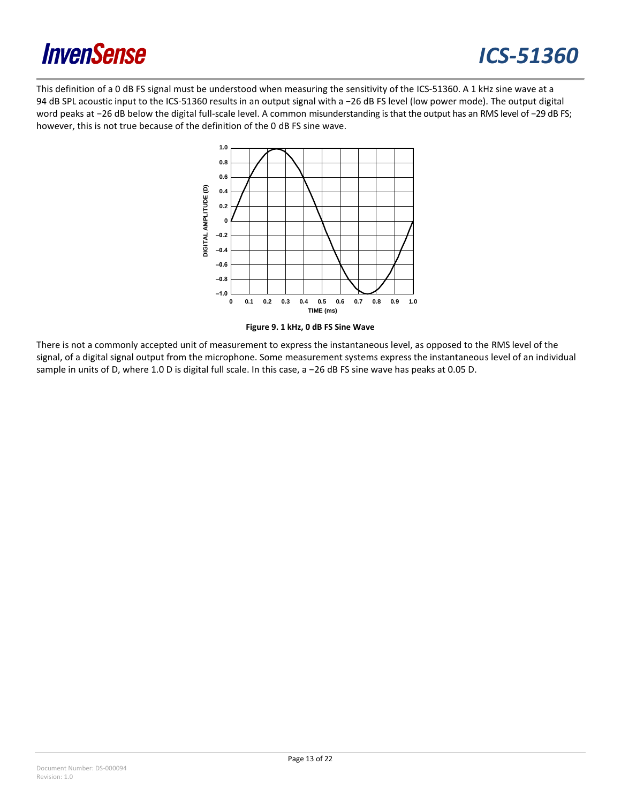

## *ICS-51360*

This definition of a 0 dB FS signal must be understood when measuring the sensitivity of the ICS-51360. A 1 kHz sine wave at a 94 dB SPL acoustic input to the ICS-51360 results in an output signal with a -26 dB FS level (low power mode). The output digital word peaks at −26 dB below the digital full-scale level. A common misunderstanding is that the output has an RMS level of −29 dB FS; however, this is not true because of the definition of the 0 dB FS sine wave.





<span id="page-12-0"></span>There is not a commonly accepted unit of measurement to express the instantaneous level, as opposed to the RMS level of the signal, of a digital signal output from the microphone. Some measurement systems express the instantaneous level of an individual sample in units of D, where 1.0 D is digital full scale. In this case, a −26 dB FS sine wave has peaks at 0.05 D.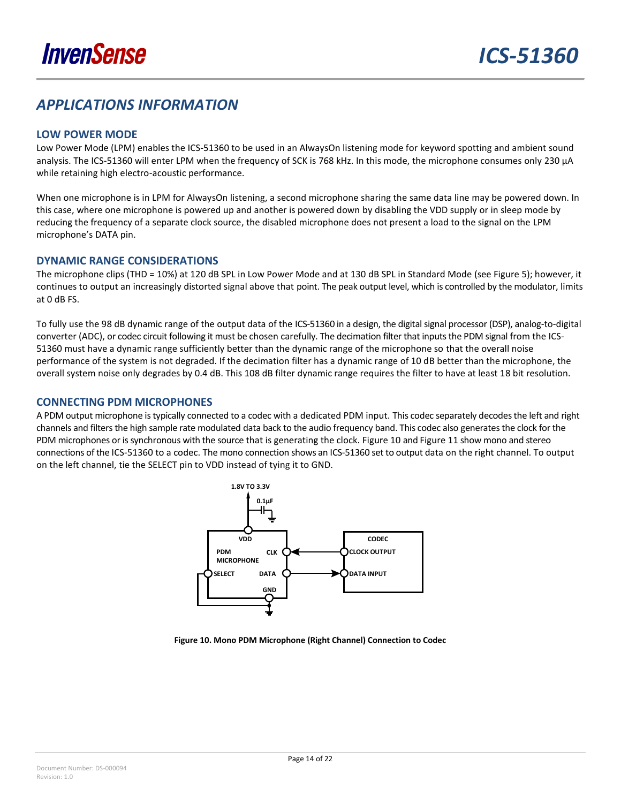## <span id="page-13-0"></span>*APPLICATIONS INFORMATION*

#### <span id="page-13-1"></span>**LOW POWER MODE**

Low Power Mode (LPM) enables the ICS-51360 to be used in an AlwaysOn listening mode for keyword spotting and ambient sound analysis. The ICS-51360 will enter LPM when the frequency of SCK is 768 kHz. In this mode, the microphone consumes only 230 µA while retaining high electro-acoustic performance.

When one microphone is in LPM for AlwaysOn listening, a second microphone sharing the same data line may be powered down. In this case, where one microphone is powered up and another is powered down by disabling the VDD supply or in sleep mode by reducing the frequency of a separate clock source, the disabled microphone does not present a load to the signal on the LPM microphone's DATA pin.

#### <span id="page-13-2"></span>**DYNAMIC RANGE CONSIDERATIONS**

The microphone clips (THD = 10%) at 120 dB SPL in Low Power Mode and at 130 dB SPL in Standard Mode (see [Figure 5\)](#page-10-1); however, it continues to output an increasingly distorted signal above that point. The peak output level, which is controlled by the modulator, limits at 0 dB FS.

To fully use the 98 dB dynamic range of the output data of the ICS-51360 in a design, the digital signal processor (DSP), analog-to-digital converter (ADC), or codec circuit following it must be chosen carefully. The decimation filter that inputs the PDM signal from the ICS-51360 must have a dynamic range sufficiently better than the dynamic range of the microphone so that the overall noise performance of the system is not degraded. If the decimation filter has a dynamic range of 10 dB better than the microphone, the overall system noise only degrades by 0.4 dB. This 108 dB filter dynamic range requires the filter to have at least 18 bit resolution.

#### <span id="page-13-3"></span>**CONNECTING PDM MICROPHONES**

A PDM output microphone istypically connected to a codec with a dedicated PDM input. This codec separately decodes the left and right channels and filters the high sample rate modulated data back to the audio frequency band. This codec also generates the clock for the PDM microphones or is synchronous with the source that is generating the clock. [Figure 10](#page-13-4) an[d Figure 11](#page-14-0) show mono and stereo connections of the ICS-51360 to a codec. The mono connection shows an ICS-51360 set to output data on the right channel. To output on the left channel, tie the SELECT pin to VDD instead of tying it to GND.



<span id="page-13-4"></span>**Figure 10. Mono PDM Microphone (Right Channel) Connection to Codec**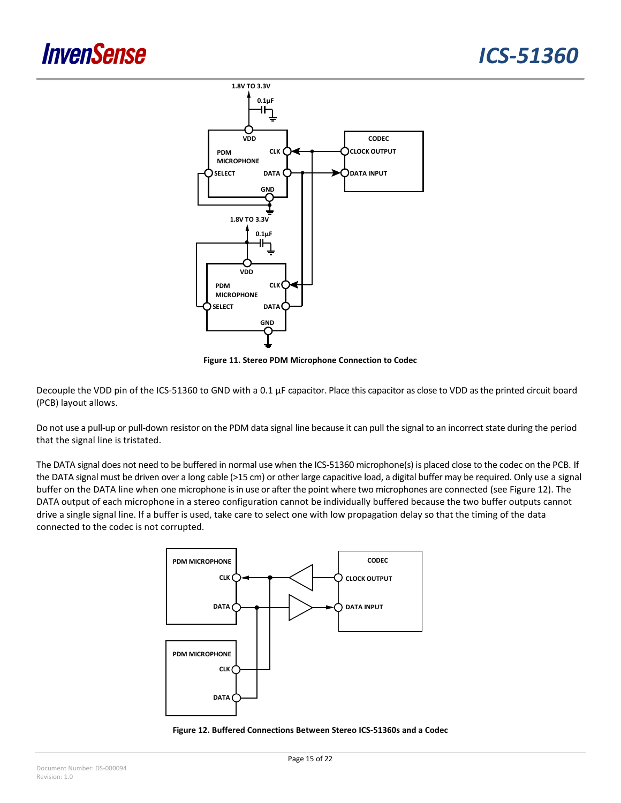

**Figure 11. Stereo PDM Microphone Connection to Codec**

<span id="page-14-0"></span>Decouple the VDD pin of the ICS-51360 to GND with a 0.1 µF capacitor. Place this capacitor as close to VDD as the printed circuit board (PCB) layout allows.

Do not use a pull-up or pull-down resistor on the PDM data signal line because it can pull the signal to an incorrect state during the period that the signal line is tristated.

The DATA signal does not need to be buffered in normal use when the ICS-51360 microphone(s) is placed close to the codec on the PCB. If the DATA signal must be driven over a long cable (>15 cm) or other large capacitive load, a digital buffer may be required. Only use a signal buffer on the DATA line when one microphone is in use or after the point where two microphones are connected (see [Figure 12\)](#page-14-1). The DATA output of each microphone in a stereo configuration cannot be individually buffered because the two buffer outputs cannot drive a single signal line. If a buffer is used, take care to select one with low propagation delay so that the timing of the data connected to the codec is not corrupted.



<span id="page-14-1"></span>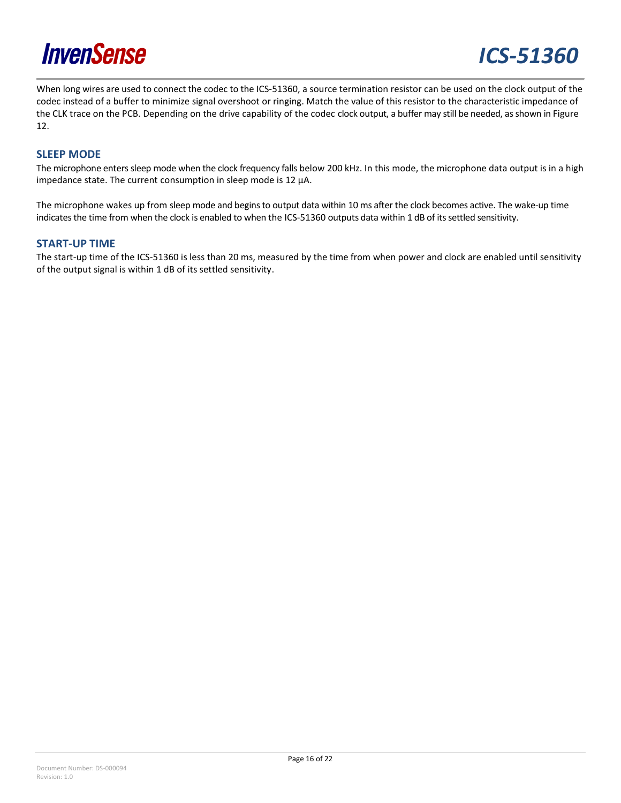

When long wires are used to connect the codec to the ICS-51360, a source termination resistor can be used on the clock output of the codec instead of a buffer to minimize signal overshoot or ringing. Match the value of this resistor to the characteristic impedance of the CLK trace on the PCB. Depending on the drive capability of the codec clock output, a buffer may still be needed, as shown i[n Figure](#page-14-1)  [12.](#page-14-1)

#### <span id="page-15-0"></span>**SLEEP MODE**

The microphone enters sleep mode when the clock frequency falls below 200 kHz. In this mode, the microphone data output is in a high impedance state. The current consumption in sleep mode is 12 µA.

The microphone wakes up from sleep mode and begins to output data within 10 ms after the clock becomes active. The wake-up time indicates the time from when the clock is enabled to when the ICS-51360 outputs data within 1 dB of its settled sensitivity.

#### <span id="page-15-1"></span>**START-UP TIME**

The start-up time of the ICS-51360 is less than 20 ms, measured by the time from when power and clock are enabled until sensitivity of the output signal is within 1 dB of its settled sensitivity.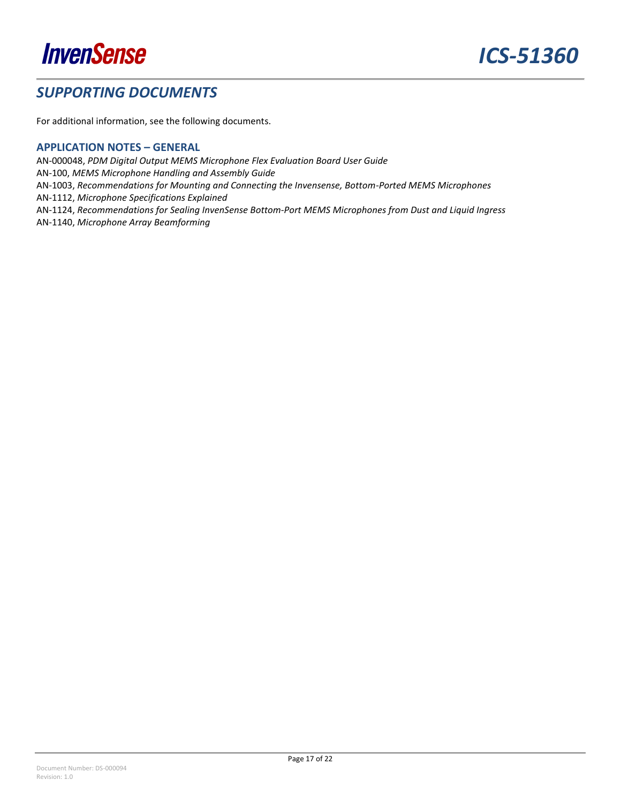

### <span id="page-16-0"></span>*SUPPORTING DOCUMENTS*

For additional information, see the following documents.

#### <span id="page-16-1"></span>**APPLICATION NOTES – GENERAL**

AN-000048, *PDM Digital Output MEMS Microphone Flex Evaluation Board User Guide* AN-100, *MEMS Microphone Handling and Assembly Guide* AN-1003, *Recommendations for Mounting and Connecting the Invensense, Bottom-Ported MEMS Microphones* AN-1112, *Microphone Specifications Explained* AN-1124, *Recommendations for Sealing InvenSense Bottom-Port MEMS Microphones from Dust and Liquid Ingress* AN-1140, *Microphone Array Beamforming*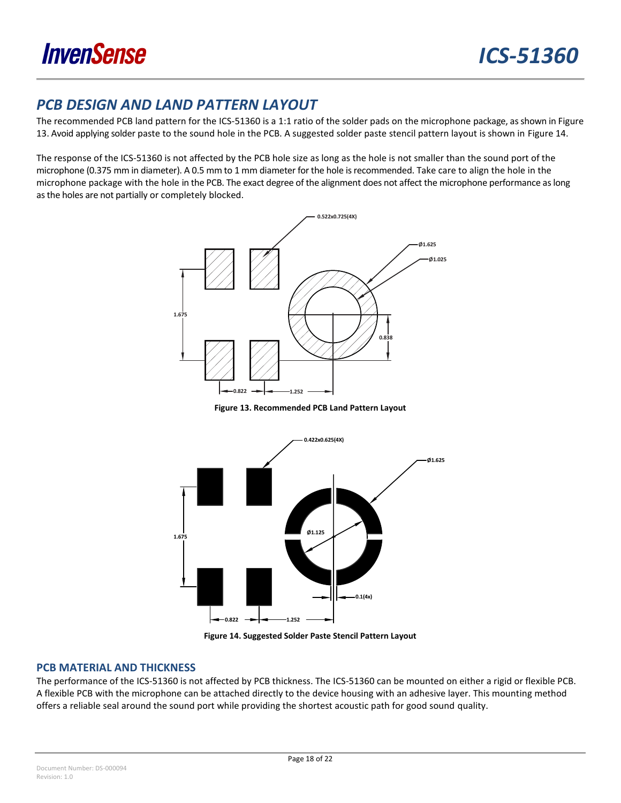

## <span id="page-17-0"></span>*PCB DESIGN AND LAND PATTERN LAYOUT*

The recommended PCB land pattern for the ICS-51360 is a 1:1 ratio of the solder pads on the microphone package, as shown i[n Figure](#page-17-2)  [13.](#page-17-2) Avoid applying solder paste to the sound hole in the PCB. A suggested solder paste stencil pattern layout is shown in [Figure 14.](#page-17-3)

The response of the ICS-51360 is not affected by the PCB hole size as long as the hole is not smaller than the sound port of the microphone (0.375 mm in diameter). A 0.5 mm to 1 mm diameter for the hole is recommended. Take care to align the hole in the microphone package with the hole in the PCB. The exact degree of the alignment does not affect the microphone performance as long asthe holes are not partially or completely blocked.



**Figure 13. Recommended PCB Land Pattern Layout**

<span id="page-17-2"></span>

**Figure 14. Suggested Solder Paste Stencil Pattern Layout**

#### <span id="page-17-3"></span><span id="page-17-1"></span>**PCB MATERIAL AND THICKNESS**

The performance of the ICS-51360 is not affected by PCB thickness. The ICS-51360 can be mounted on either a rigid or flexible PCB. A flexible PCB with the microphone can be attached directly to the device housing with an adhesive layer. This mounting method offers a reliable seal around the sound port while providing the shortest acoustic path for good sound quality.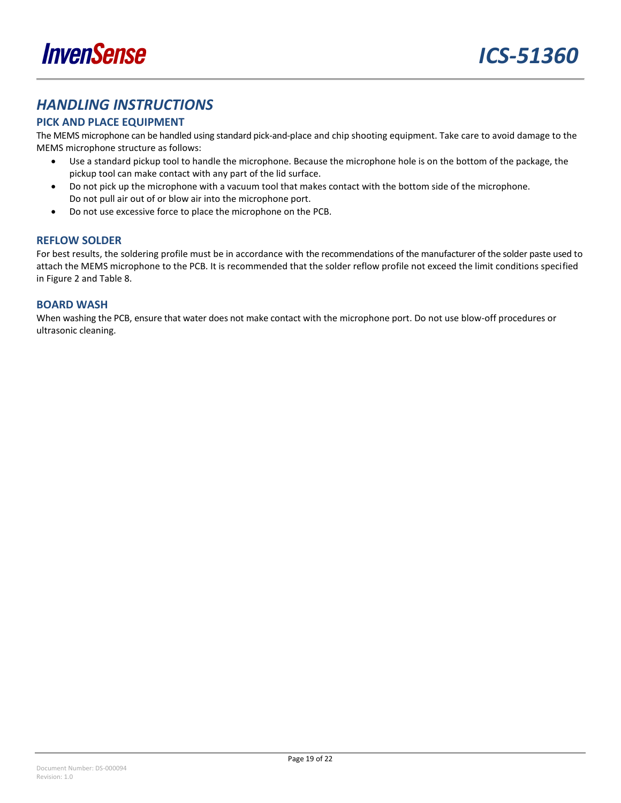

## <span id="page-18-0"></span>*HANDLING INSTRUCTIONS*

#### <span id="page-18-1"></span>**PICK AND PLACE EQUIPMENT**

The MEMS microphone can be handled using standard pick-and-place and chip shooting equipment. Take care to avoid damage to the MEMS microphone structure as follows:

- Use a standard pickup tool to handle the microphone. Because the microphone hole is on the bottom of the package, the pickup tool can make contact with any part of the lid surface.
- Do not pick up the microphone with a vacuum tool that makes contact with the bottom side of the microphone. Do not pull air out of or blow air into the microphone port.
- Do not use excessive force to place the microphone on the PCB.

#### <span id="page-18-2"></span>**REFLOW SOLDER**

For best results, the soldering profile must be in accordance with the recommendations of the manufacturer of the solder paste used to attach the MEMS microphone to the PCB. It is recommended that the solder reflow profile not exceed the limit conditions specified in [Figure 2](#page-8-2) and [Table 8.](#page-8-1)

#### <span id="page-18-3"></span>**BOARD WASH**

When washing the PCB, ensure that water does not make contact with the microphone port. Do not use blow-off procedures or ultrasonic cleaning.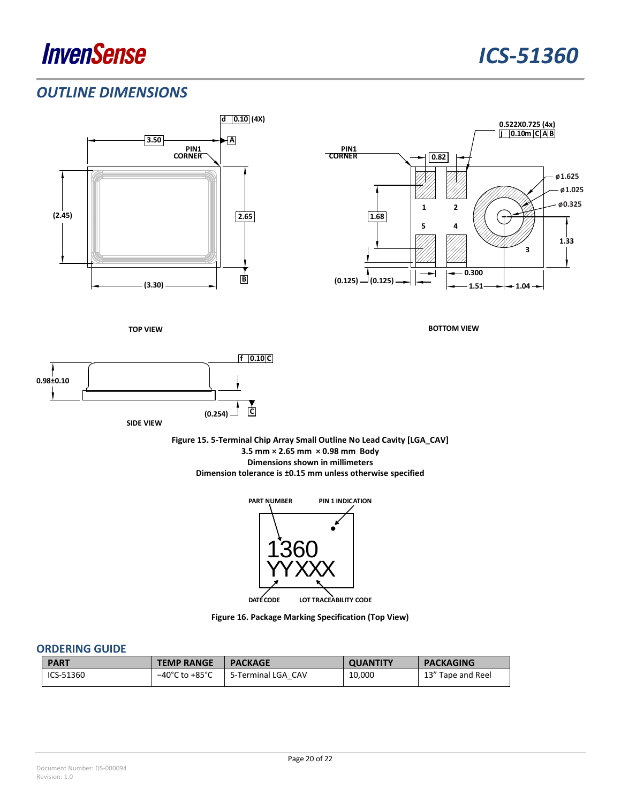## <span id="page-19-0"></span>*OUTLINE DIMENSIONS*





**Figure 16. Package Marking Specification (Top View)**

#### <span id="page-19-1"></span>**ORDERING GUIDE**

| <b>PART</b> | <b>TEMP RANGE</b>                  | <b>PACKAGE</b>     | <b>QUANTITY</b> | <b>PACKAGING</b>  |
|-------------|------------------------------------|--------------------|-----------------|-------------------|
| ICS-51360   | $-40^{\circ}$ C to $+85^{\circ}$ C | 5-Terminal LGA CAV | 10,000          | 13" Tape and Reel |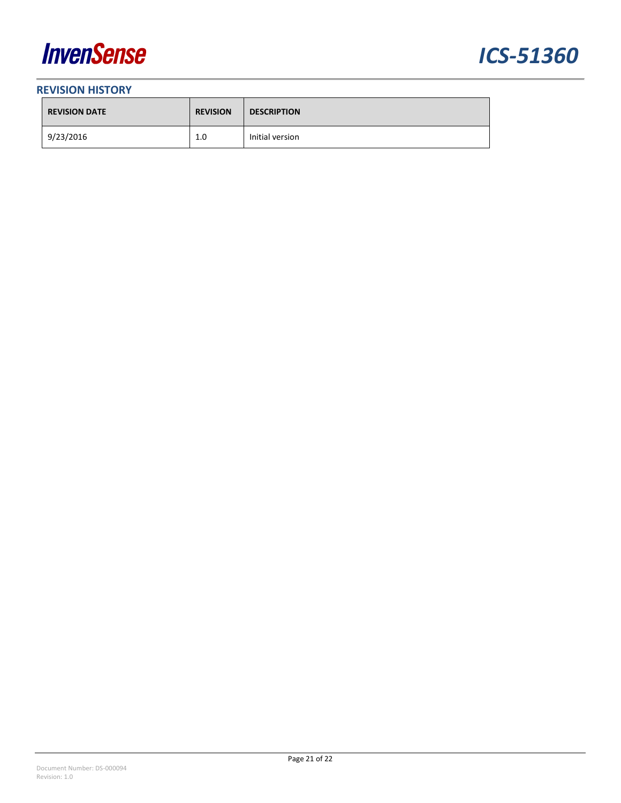



#### <span id="page-20-0"></span>**REVISION HISTORY**

| <b>REVISION DATE</b> | <b>REVISION</b> | <b>DESCRIPTION</b> |
|----------------------|-----------------|--------------------|
| 9/23/2016            | 1.0             | Initial version    |